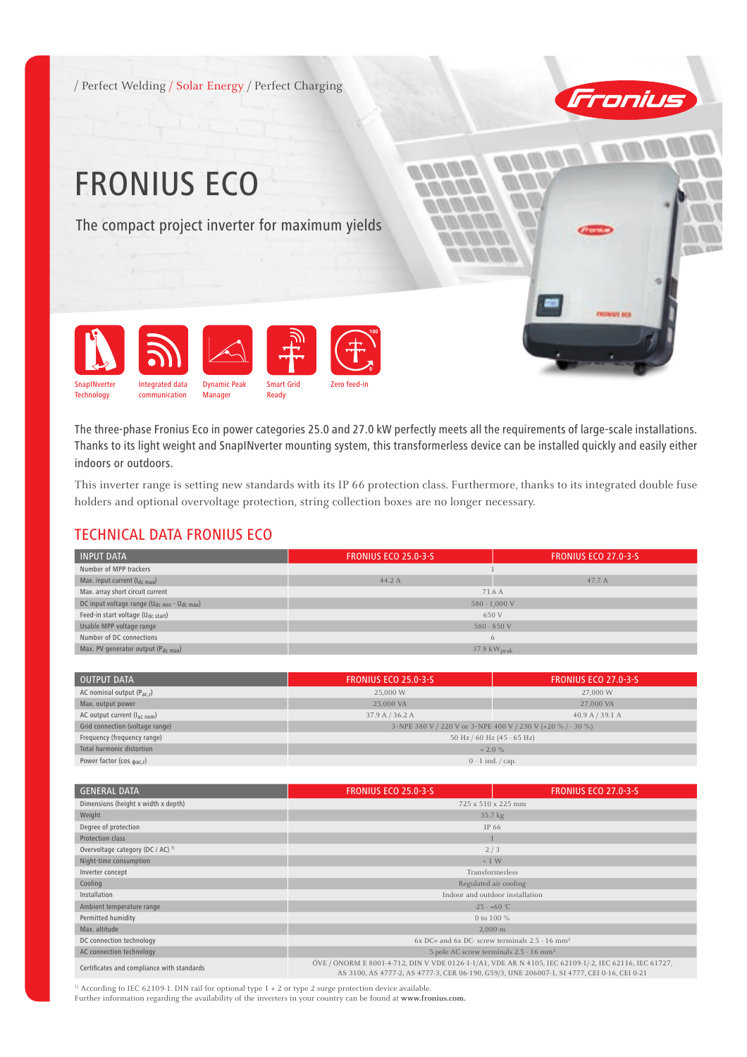



# FRONIUS ECO

The compact project inverter for maximum yields



The three-phase Fronius Eco in power categories 25.0 and 27.0 kW perfectly meets all the requirements of large-scale installations. Thanks to its light weight and SnapINverter mounting system, this transformerless device can be installed quickly and easily either indoors or outdoors.

This inverter range is setting new standards with its IP 66 protection class. Furthermore, thanks to its integrated double fuse holders and optional overvoltage protection, string collection boxes are no longer necessary.

#### TECHNICAL DATA FRONIUS ECO

| <b>INPUT DATA</b>                                                   | <b>FRONIUS ECO 25.0-3-5</b>     | <b>FRONIUS ECO 27.0-3-5</b> |
|---------------------------------------------------------------------|---------------------------------|-----------------------------|
| Number of MPP trackers                                              |                                 |                             |
| Max. input current $(l_{dc\,max})$                                  | 44.2 A                          | 47.7 A                      |
| Max. array short circuit current                                    | 71.6 A                          |                             |
| DC input voltage range (U <sub>dc min</sub> - U <sub>dc max</sub> ) | $580 - 1,000$ V                 |                             |
| Feed-in start voltage (U <sub>dc start</sub> )                      | 650 V                           |                             |
| Usable MPP voltage range                                            | $580 - 850$ V                   |                             |
| Number of DC connections                                            | $\theta$                        |                             |
| Max. PV generator output (Pdc max)                                  | $37.8 \text{ kW}_{\text{peak}}$ |                             |

| OUTPUT DATA                           | <b>FRONIUS ECO 25.0-3-S</b>                                 | <b>FRONIUS ECO 27.0-3-S</b> |
|---------------------------------------|-------------------------------------------------------------|-----------------------------|
| AC nominal output $(P_{\text{ac}})$   | 25,000 W                                                    | 27,000 W                    |
| Max. output power                     | 25,000 VA                                                   | 27,000 VA                   |
| AC output current $(l_{ac\ nom})$     | 37.9 A / 36.2 A                                             | 40.9 A / 39.1 A             |
| Grid connection (voltage range)       | 3-NPE 380 V / 220 V or 3-NPE 400 V / 230 V (+20 % / - 30 %) |                             |
| Frequency (frequency range)           | 50 Hz / 60 Hz (45 - 65 Hz)                                  |                             |
| Total harmonic distortion             | $~12.0 \%$                                                  |                             |
| Power factor (cos $_{\text{bac,r}}$ ) | $0 - 1$ ind. $\frac{\pi}{2}$ cap.                           |                             |

| <b>GENERAL DATA</b>                          | <b>FRONIUS ECO 25.0-3-S</b>                                                                                                                                                                          | <b>FRONIUS ECO 27.0-3-5</b> |
|----------------------------------------------|------------------------------------------------------------------------------------------------------------------------------------------------------------------------------------------------------|-----------------------------|
| Dimensions (height x width x depth)          | 725 x 510 x 225 mm                                                                                                                                                                                   |                             |
| Weight                                       | 35.7 kg                                                                                                                                                                                              |                             |
| Degree of protection                         | IP 66                                                                                                                                                                                                |                             |
| Protection class                             |                                                                                                                                                                                                      |                             |
| Overvoltage category (DC / AC) <sup>1)</sup> | 2/3                                                                                                                                                                                                  |                             |
| Night-time consumption                       | $\leq 1$ W                                                                                                                                                                                           |                             |
| Inverter concept                             | Transformerless                                                                                                                                                                                      |                             |
| Cooling                                      | Regulated air cooling                                                                                                                                                                                |                             |
| Installation                                 | Indoor and outdoor installation                                                                                                                                                                      |                             |
| Ambient temperature range                    | $-25 - +60$ °C                                                                                                                                                                                       |                             |
| Permitted humidity                           | 0 to 100 %                                                                                                                                                                                           |                             |
| Max. altitude                                | $2,000 \; \mathrm{m}$                                                                                                                                                                                |                             |
| DC connection technology                     | $6x$ DC+ and $6x$ DC- screw terminals $2.5 - 16$ mm <sup>2</sup>                                                                                                                                     |                             |
| AC connection technology                     | 5-pole AC screw terminals 2.5 - 16 mm <sup>2</sup>                                                                                                                                                   |                             |
| Certificates and compliance with standards   | ÖVE / ÖNORM E 8001-4-712, DIN V VDE 0126-1-1/A1, VDE AR N 4105, IEC 62109-1/-2, IEC 62116, IEC 61727,<br>AS 3100, AS 4777-2, AS 4777-3, CER 06-190, G59/3, UNE 206007-1, SI 4777, CEI 0-16, CEI 0-21 |                             |

<sup>1)</sup> According to IEC 62109-1. DIN rail for optional type 1 + 2 or type 2 surge protection device available.

Further information regarding the availability of the inverters in your country can be found at **www.fronius.com.**